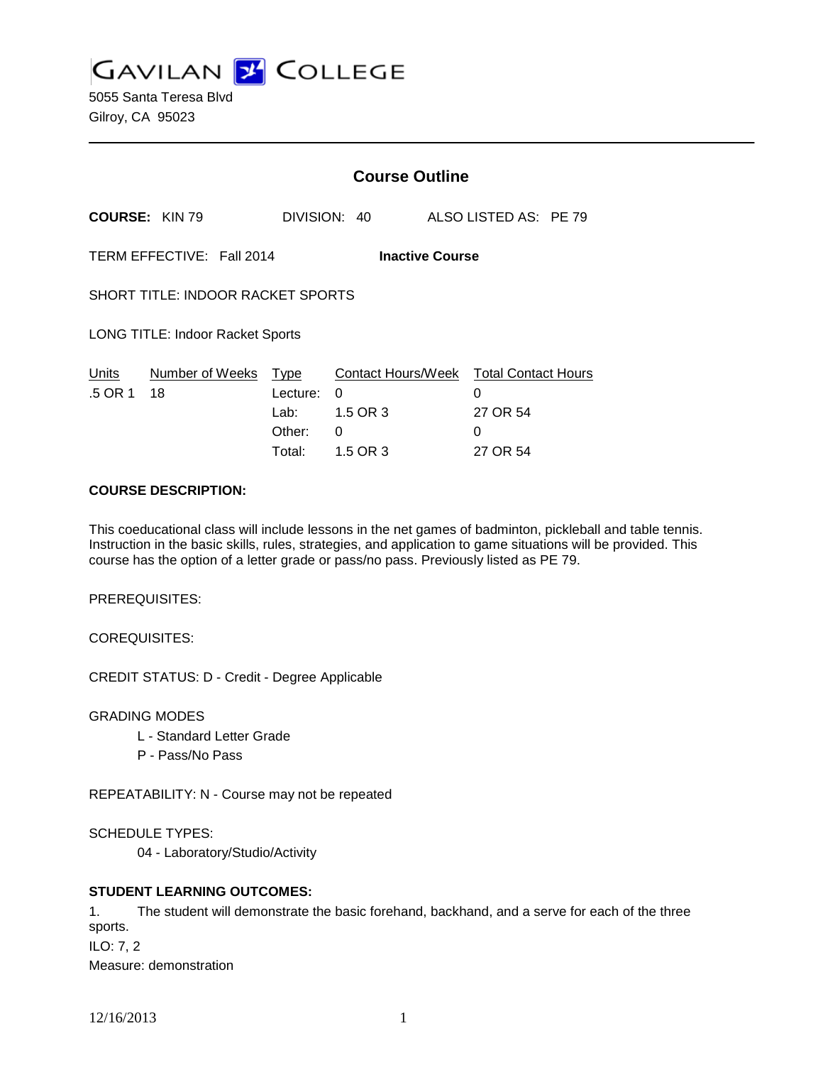**GAVILAN J COLLEGE** 

|                                                     |                       | <b>Course Outline</b>                               |                                                      |        |                                                    |
|-----------------------------------------------------|-----------------------|-----------------------------------------------------|------------------------------------------------------|--------|----------------------------------------------------|
| <b>COURSE: KIN 79</b>                               |                       |                                                     | DIVISION: 40                                         |        | ALSO LISTED AS: PE 79                              |
| TERM EFFECTIVE: Fall 2014<br><b>Inactive Course</b> |                       |                                                     |                                                      |        |                                                    |
| <b>SHORT TITLE: INDOOR RACKET SPORTS</b>            |                       |                                                     |                                                      |        |                                                    |
| <b>LONG TITLE: Indoor Racket Sports</b>             |                       |                                                     |                                                      |        |                                                    |
| Units<br>.5 OR 1                                    | Number of Weeks<br>18 | <u>Type</u><br>Lecture:<br>Lab:<br>Other:<br>Total: | Contact Hours/Week<br>0<br>1.5 OR 3<br>0<br>1.5 OR 3 | 0<br>0 | <b>Total Contact Hours</b><br>27 OR 54<br>27 OR 54 |

## **COURSE DESCRIPTION:**

This coeducational class will include lessons in the net games of badminton, pickleball and table tennis. Instruction in the basic skills, rules, strategies, and application to game situations will be provided. This course has the option of a letter grade or pass/no pass. Previously listed as PE 79.

PREREQUISITES:

COREQUISITES:

CREDIT STATUS: D - Credit - Degree Applicable

GRADING MODES

- L Standard Letter Grade
- P Pass/No Pass

REPEATABILITY: N - Course may not be repeated

SCHEDULE TYPES:

04 - Laboratory/Studio/Activity

## **STUDENT LEARNING OUTCOMES:**

1. The student will demonstrate the basic forehand, backhand, and a serve for each of the three sports. ILO: 7, 2 Measure: demonstration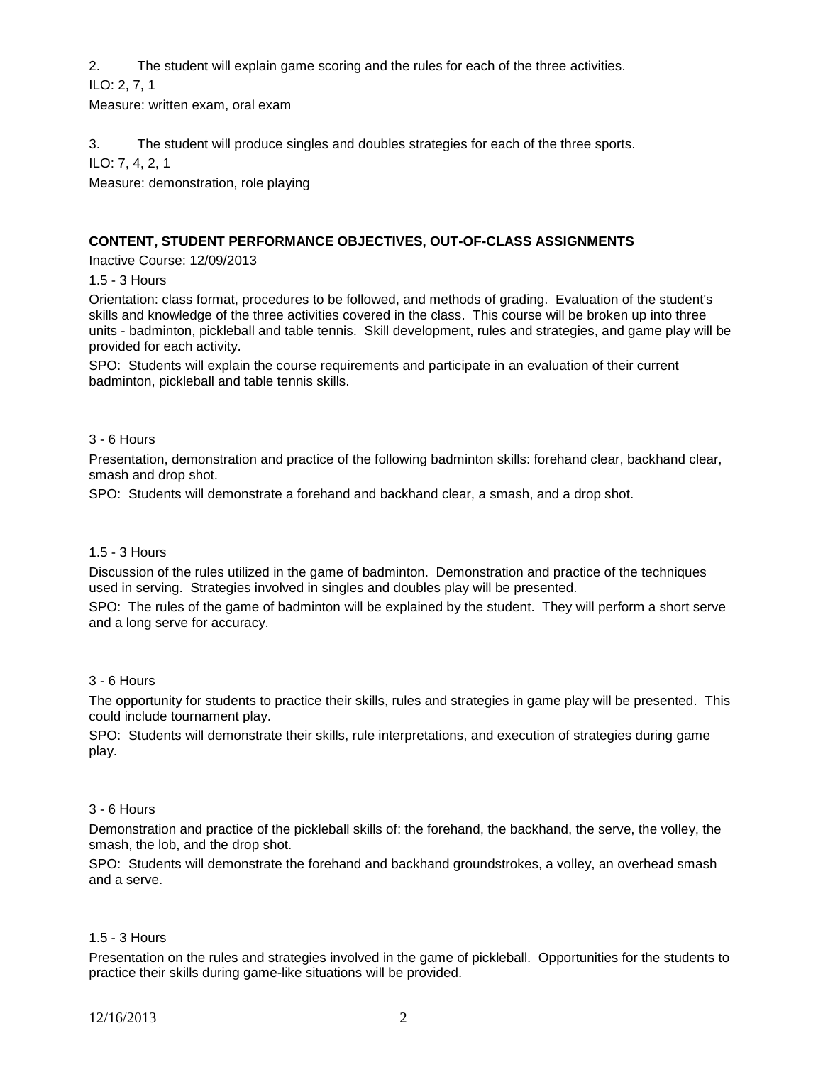2. The student will explain game scoring and the rules for each of the three activities.

ILO: 2, 7, 1

Measure: written exam, oral exam

3. The student will produce singles and doubles strategies for each of the three sports.

ILO: 7, 4, 2, 1

Measure: demonstration, role playing

# **CONTENT, STUDENT PERFORMANCE OBJECTIVES, OUT-OF-CLASS ASSIGNMENTS**

Inactive Course: 12/09/2013

1.5 - 3 Hours

Orientation: class format, procedures to be followed, and methods of grading. Evaluation of the student's skills and knowledge of the three activities covered in the class. This course will be broken up into three units - badminton, pickleball and table tennis. Skill development, rules and strategies, and game play will be provided for each activity.

SPO: Students will explain the course requirements and participate in an evaluation of their current badminton, pickleball and table tennis skills.

## 3 - 6 Hours

Presentation, demonstration and practice of the following badminton skills: forehand clear, backhand clear, smash and drop shot.

SPO: Students will demonstrate a forehand and backhand clear, a smash, and a drop shot.

## 1.5 - 3 Hours

Discussion of the rules utilized in the game of badminton. Demonstration and practice of the techniques used in serving. Strategies involved in singles and doubles play will be presented.

SPO: The rules of the game of badminton will be explained by the student. They will perform a short serve and a long serve for accuracy.

## 3 - 6 Hours

The opportunity for students to practice their skills, rules and strategies in game play will be presented. This could include tournament play.

SPO: Students will demonstrate their skills, rule interpretations, and execution of strategies during game play.

## 3 - 6 Hours

Demonstration and practice of the pickleball skills of: the forehand, the backhand, the serve, the volley, the smash, the lob, and the drop shot.

SPO: Students will demonstrate the forehand and backhand groundstrokes, a volley, an overhead smash and a serve.

## 1.5 - 3 Hours

Presentation on the rules and strategies involved in the game of pickleball. Opportunities for the students to practice their skills during game-like situations will be provided.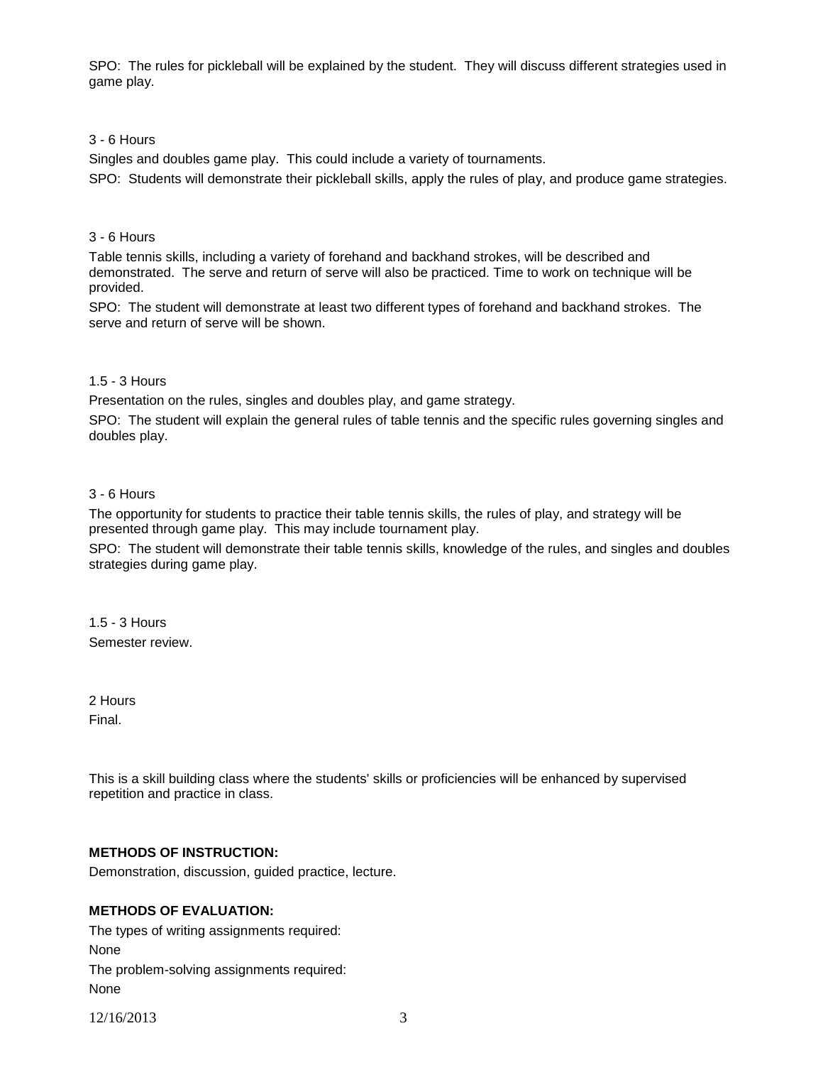SPO: The rules for pickleball will be explained by the student. They will discuss different strategies used in game play.

#### 3 - 6 Hours

Singles and doubles game play. This could include a variety of tournaments.

SPO: Students will demonstrate their pickleball skills, apply the rules of play, and produce game strategies.

#### 3 - 6 Hours

Table tennis skills, including a variety of forehand and backhand strokes, will be described and demonstrated. The serve and return of serve will also be practiced. Time to work on technique will be provided.

SPO: The student will demonstrate at least two different types of forehand and backhand strokes. The serve and return of serve will be shown.

#### 1.5 - 3 Hours

Presentation on the rules, singles and doubles play, and game strategy.

SPO: The student will explain the general rules of table tennis and the specific rules governing singles and doubles play.

#### 3 - 6 Hours

The opportunity for students to practice their table tennis skills, the rules of play, and strategy will be presented through game play. This may include tournament play.

SPO: The student will demonstrate their table tennis skills, knowledge of the rules, and singles and doubles strategies during game play.

1.5 - 3 Hours Semester review.

2 Hours Final.

This is a skill building class where the students' skills or proficiencies will be enhanced by supervised repetition and practice in class.

## **METHODS OF INSTRUCTION:**

Demonstration, discussion, guided practice, lecture.

## **METHODS OF EVALUATION:**

The types of writing assignments required: None The problem-solving assignments required: None

12/16/2013 3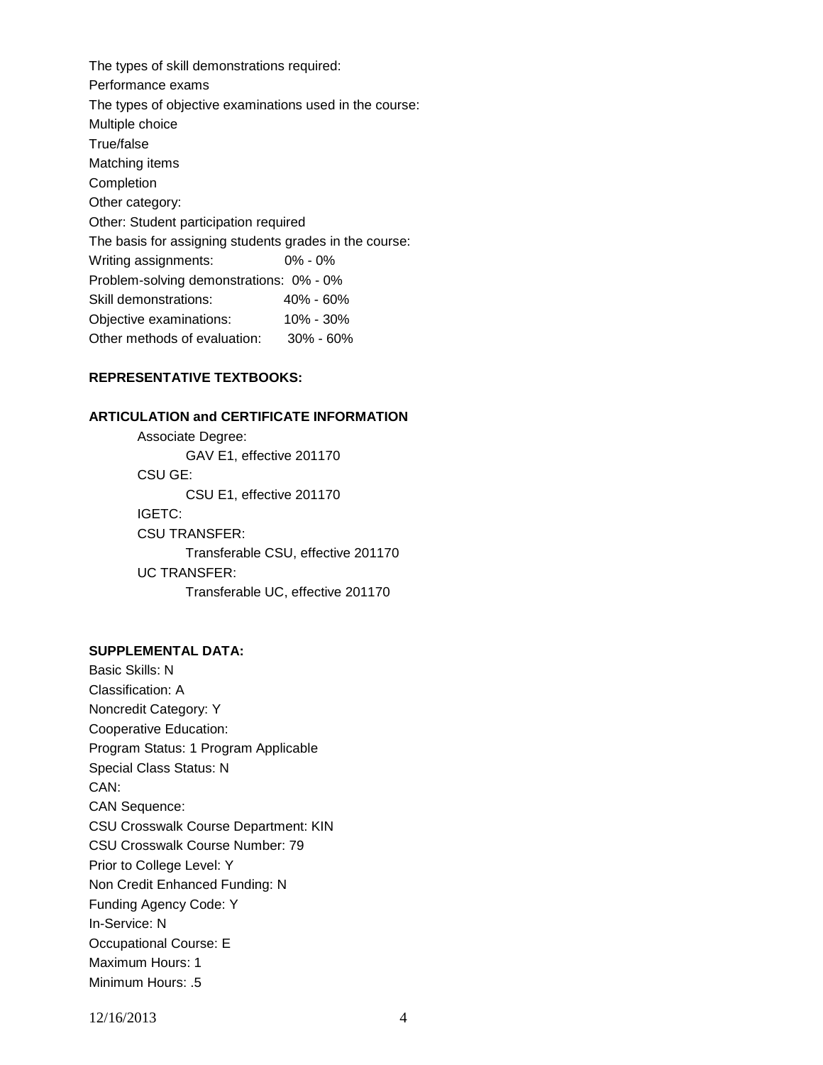The types of skill demonstrations required: Performance exams The types of objective examinations used in the course: Multiple choice True/false Matching items Completion Other category: Other: Student participation required The basis for assigning students grades in the course: Writing assignments: 0% - 0% Problem-solving demonstrations: 0% - 0% Skill demonstrations: 40% - 60% Objective examinations: 10% - 30% Other methods of evaluation: 30% - 60%

#### **REPRESENTATIVE TEXTBOOKS:**

#### **ARTICULATION and CERTIFICATE INFORMATION**

Associate Degree: GAV E1, effective 201170 CSU GE: CSU E1, effective 201170 IGETC: CSU TRANSFER: Transferable CSU, effective 201170 UC TRANSFER: Transferable UC, effective 201170

### **SUPPLEMENTAL DATA:**

Basic Skills: N Classification: A Noncredit Category: Y Cooperative Education: Program Status: 1 Program Applicable Special Class Status: N CAN: CAN Sequence: CSU Crosswalk Course Department: KIN CSU Crosswalk Course Number: 79 Prior to College Level: Y Non Credit Enhanced Funding: N Funding Agency Code: Y In-Service: N Occupational Course: E Maximum Hours: 1 Minimum Hours: .5

12/16/2013 4